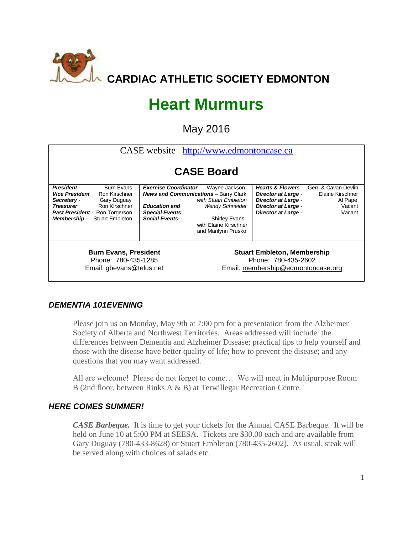

# **Heart Murmurs**

May 2016

| CASE website http://www.edmontoncase.ca                                                                                                                                                                                               |                                                                                                                                                         |                                                                                                                                         |                                                                                                                      |                                                                                                           |  |  |  |
|---------------------------------------------------------------------------------------------------------------------------------------------------------------------------------------------------------------------------------------|---------------------------------------------------------------------------------------------------------------------------------------------------------|-----------------------------------------------------------------------------------------------------------------------------------------|----------------------------------------------------------------------------------------------------------------------|-----------------------------------------------------------------------------------------------------------|--|--|--|
| <b>CASE Board</b>                                                                                                                                                                                                                     |                                                                                                                                                         |                                                                                                                                         |                                                                                                                      |                                                                                                           |  |  |  |
| <b>Burn Evans</b><br><b>President</b><br><b>Vice President</b><br>Ron Kirschner<br>Secretary -<br>Gary Duguay<br><b>Treasurer</b><br>Ron Kirschner<br><b>Past President - Ron Torgerson</b><br><b>Stuart Embleton</b><br>Membership - | <b>Exercise Coordinator -</b><br><b>News and Communications</b> - Barry Clark<br><b>Education and</b><br><b>Special Events</b><br><b>Social Events-</b> | Wayne Jackson<br>with Stuart Embleton<br><b>Wendy Schneider</b><br><b>Shirley Evans</b><br>with Elaine Kirschner<br>and Marilynn Prusko | <b>Director at Large -</b><br><b>Director at Large -</b><br><b>Director at Large -</b><br><b>Director at Large -</b> | <b>Hearts &amp; Flowers - Gerri &amp; Cavan Devlin</b><br>Elaine Kirschner<br>Al Pape<br>Vacant<br>Vacant |  |  |  |
| <b>Burn Evans, President</b><br>Phone: 780-435-1285<br>Email: gbevans@telus.net                                                                                                                                                       |                                                                                                                                                         |                                                                                                                                         | <b>Stuart Embleton, Membership</b><br>Phone: 780-435-2602<br>Email: membership@edmontoncase.org                      |                                                                                                           |  |  |  |

## *DEMENTIA 101EVENING*

Please join us on Monday, May 9th at 7:00 pm for a presentation from the Alzheimer Society of Alberta and Northwest Territories. Areas addressed will include: the differences between Dementia and Alzheimer Disease; practical tips to help yourself and those with the disease have better quality of life; how to prevent the disease; and any questions that you may want addressed.

All are welcome! Please do not forget to come… We will meet in Multipurpose Room B (2nd floor, between Rinks A & B) at Terwillegar Recreation Centre.

#### *HERE COMES SUMMER!*

*CASE Barbeque.* It is time to get your tickets for the Annual CASE Barbeque. It will be held on June 10 at 5:00 PM at SEESA. Tickets are \$30.00 each and are available from Gary Duguay (780-433-8628) or Stuart Embleton (780-435-2602). As usual, steak will be served along with choices of salads etc.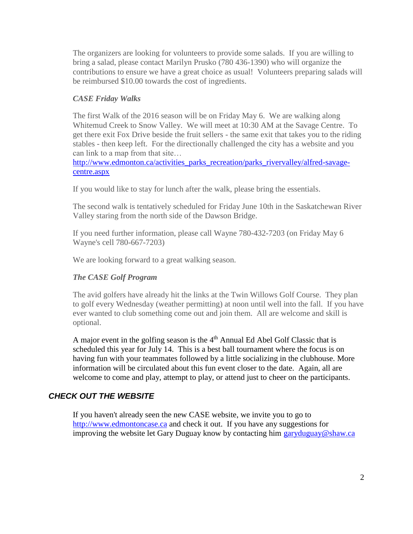The organizers are looking for volunteers to provide some salads. If you are willing to bring a salad, please contact Marilyn Prusko (780 436-1390) who will organize the contributions to ensure we have a great choice as usual! Volunteers preparing salads will be reimbursed \$10.00 towards the cost of ingredients.

#### *CASE Friday Walks*

The first Walk of the 2016 season will be on Friday May 6. We are walking along Whitemud Creek to Snow Valley. We will meet at 10:30 AM at the Savage Centre. To get there exit Fox Drive beside the fruit sellers - the same exit that takes you to the riding stables - then keep left. For the directionally challenged the city has a website and you can link to a map from that site…

[http://www.edmonton.ca/activities\\_parks\\_recreation/parks\\_rivervalley/alfred-savage](http://www.edmonton.ca/activities_parks_recreation/parks_rivervalley/alfred-savage-centre.aspx)[centre.aspx](http://www.edmonton.ca/activities_parks_recreation/parks_rivervalley/alfred-savage-centre.aspx)

If you would like to stay for lunch after the walk, please bring the essentials.

The second walk is tentatively scheduled for Friday June 10th in the Saskatchewan River Valley staring from the north side of the Dawson Bridge.

If you need further information, please call Wayne 780-432-7203 (on Friday May 6 Wayne's cell 780-667-7203)

We are looking forward to a great walking season.

## *The CASE Golf Program*

The avid golfers have already hit the links at the Twin Willows Golf Course. They plan to golf every Wednesday (weather permitting) at noon until well into the fall. If you have ever wanted to club something come out and join them. All are welcome and skill is optional.

A major event in the golfing season is the 4<sup>th</sup> Annual Ed Abel Golf Classic that is scheduled this year for July 14. This is a best ball tournament where the focus is on having fun with your teammates followed by a little socializing in the clubhouse. More information will be circulated about this fun event closer to the date. Again, all are welcome to come and play, attempt to play, or attend just to cheer on the participants.

# *CHECK OUT THE WEBSITE*

If you haven't already seen the new CASE website, we invite you to go to [http://www.edmontoncase.ca](http://www.edmontoncase.ca/) and check it out. If you have any suggestions for improving the website let Gary Duguay know by contacting him [garyduguay@shaw.ca](mailto:garyduguay@shaw.ca)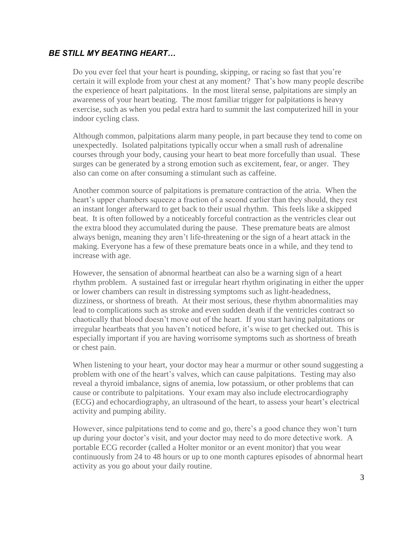#### *BE STILL MY BEATING HEART…*

Do you ever feel that your heart is pounding, skipping, or racing so fast that you're certain it will explode from your chest at any moment? That's how many people describe the experience of heart palpitations. In the most literal sense, palpitations are simply an awareness of your heart beating. The most familiar trigger for palpitations is heavy exercise, such as when you pedal extra hard to summit the last computerized hill in your indoor cycling class.

Although common, palpitations alarm many people, in part because they tend to come on unexpectedly. Isolated palpitations typically occur when a small rush of adrenaline courses through your body, causing your heart to beat more forcefully than usual. These surges can be generated by a strong emotion such as excitement, fear, or anger. They also can come on after consuming a stimulant such as caffeine.

Another common source of palpitations is premature contraction of the atria. When the heart's upper chambers squeeze a fraction of a second earlier than they should, they rest an instant longer afterward to get back to their usual rhythm. This feels like a skipped beat. It is often followed by a noticeably forceful contraction as the ventricles clear out the extra blood they accumulated during the pause. These premature beats are almost always benign, meaning they aren't life-threatening or the sign of a heart attack in the making. Everyone has a few of these premature beats once in a while, and they tend to increase with age.

However, the sensation of abnormal heartbeat can also be a warning sign of a heart rhythm problem. A sustained fast or irregular heart rhythm originating in either the upper or lower chambers can result in distressing symptoms such as light-headedness, dizziness, or shortness of breath. At their most serious, these rhythm abnormalities may lead to complications such as stroke and even sudden death if the ventricles contract so chaotically that blood doesn't move out of the heart. If you start having palpitations or irregular heartbeats that you haven't noticed before, it's wise to get checked out. This is especially important if you are having worrisome symptoms such as shortness of breath or chest pain.

When listening to your heart, your doctor may hear a murmur or other sound suggesting a problem with one of the heart's valves, which can cause palpitations. Testing may also reveal a thyroid imbalance, signs of anemia, low potassium, or other problems that can cause or contribute to palpitations. Your exam may also include electrocardiography (ECG) and echocardiography, an ultrasound of the heart, to assess your heart's electrical activity and pumping ability.

However, since palpitations tend to come and go, there's a good chance they won't turn up during your doctor's visit, and your doctor may need to do more detective work. A portable ECG recorder (called a Holter monitor or an event monitor) that you wear continuously from 24 to 48 hours or up to one month captures episodes of abnormal heart activity as you go about your daily routine.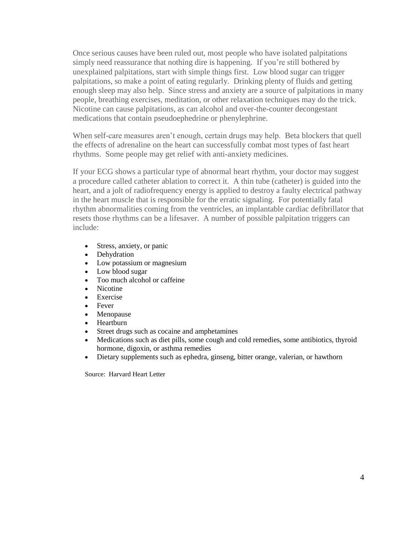Once serious causes have been ruled out, most people who have isolated palpitations simply need reassurance that nothing dire is happening. If you're still bothered by unexplained palpitations, start with simple things first. Low blood sugar can trigger palpitations, so make a point of eating regularly. Drinking plenty of fluids and getting enough sleep may also help. Since stress and anxiety are a source of palpitations in many people, breathing exercises, meditation, or other relaxation techniques may do the trick. Nicotine can cause palpitations, as can alcohol and over-the-counter decongestant medications that contain pseudoephedrine or phenylephrine.

When self-care measures aren't enough, certain drugs may help. Beta blockers that quell the effects of adrenaline on the heart can successfully combat most types of fast heart rhythms. Some people may get relief with anti-anxiety medicines.

If your ECG shows a particular type of abnormal heart rhythm, your doctor may suggest a procedure called catheter ablation to correct it. A thin tube (catheter) is guided into the heart, and a jolt of radiofrequency energy is applied to destroy a faulty electrical pathway in the heart muscle that is responsible for the erratic signaling. For potentially fatal rhythm abnormalities coming from the ventricles, an implantable cardiac defibrillator that resets those rhythms can be a lifesaver. A number of possible palpitation triggers can include:

- Stress, anxiety, or panic
- Dehydration
- Low potassium or magnesium
- Low blood sugar
- Too much alcohol or caffeine
- Nicotine
- Exercise
- Fever
- Menopause
- Heartburn
- Street drugs such as cocaine and amphetamines
- Medications such as diet pills, some cough and cold remedies, some antibiotics, thyroid hormone, digoxin, or asthma remedies
- Dietary supplements such as ephedra, ginseng, bitter orange, valerian, or hawthorn

Source: Harvard Heart Letter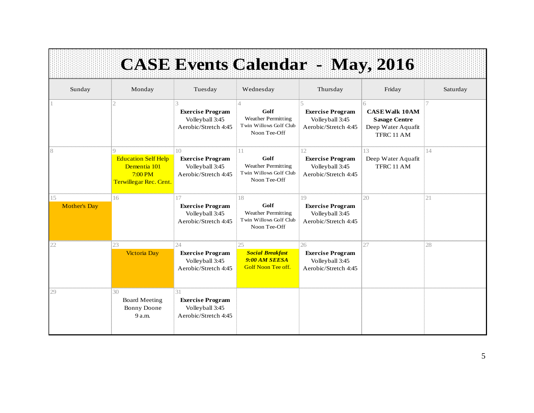|                           |                                                                                  |                                                                                       | <b>CASE Events Calendar - May, 2016</b>                                                 |                                                                          |                                                                                        |          |
|---------------------------|----------------------------------------------------------------------------------|---------------------------------------------------------------------------------------|-----------------------------------------------------------------------------------------|--------------------------------------------------------------------------|----------------------------------------------------------------------------------------|----------|
| Sunday                    | Monday                                                                           | Tuesday                                                                               | Wednesday                                                                               | Thursday                                                                 | Friday                                                                                 | Saturday |
|                           |                                                                                  | <b>Exercise Program</b><br>Volleyball 3:45<br>Aerobic/Stretch 4:45                    | $\Delta$<br>Golf<br><b>Weather Permitting</b><br>Twin Willows Golf Club<br>Noon Tee-Off | <b>Exercise Program</b><br>Volleyball 3:45<br>Aerobic/Stretch 4:45       | 6<br><b>CASE Walk 10AM</b><br><b>Savage Centre</b><br>Deep Water Aquafit<br>TFRC 11 AM |          |
| 8                         | <b>Education Self Help</b><br>Dementia 101<br>7:00 P M<br>Terwillegar Rec. Cent. | 10 <sup>2</sup><br><b>Exercise Program</b><br>Volleyball 3:45<br>Aerobic/Stretch 4:45 | 11<br>Golf<br><b>Weather Permitting</b><br>Twin Willows Golf Club<br>Noon Tee-Off       | 12<br><b>Exercise Program</b><br>Volleyball 3:45<br>Aerobic/Stretch 4:45 | 13<br>Deep Water Aquafit<br>TFRC 11 AM                                                 | 14       |
| 15<br><b>Mother's Day</b> | 16                                                                               | 17<br><b>Exercise Program</b><br>Volleyball 3:45<br>Aerobic/Stretch 4:45              | 18<br>Golf<br><b>Weather Permitting</b><br>Twin Willows Golf Club<br>Noon Tee-Off       | 19<br><b>Exercise Program</b><br>Volleyball 3:45<br>Aerobic/Stretch 4:45 | 20                                                                                     | 21       |
| 22                        | 23<br><b>Victoria Day</b>                                                        | 24<br><b>Exercise Program</b><br>Volleyball 3:45<br>Aerobic/Stretch 4:45              | 25<br><b>Social Breakfast</b><br>9:00 AM SEESA<br><b>Golf Noon Tee off.</b>             | 26<br><b>Exercise Program</b><br>Volleyball 3:45<br>Aerobic/Stretch 4:45 | 27                                                                                     | 28       |
| 29                        | 30<br><b>Board Meeting</b><br>Bonny Doone<br>9 a.m.                              | 31<br><b>Exercise Program</b><br>Volleyball 3:45<br>Aerobic/Stretch 4:45              |                                                                                         |                                                                          |                                                                                        |          |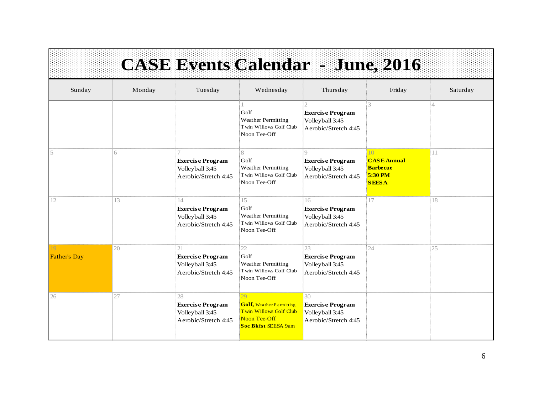|                     |        |                                                                          |                                                                                                                | <b>CASE Events Calendar - June, 2016</b>                                         |                                                                        |          |
|---------------------|--------|--------------------------------------------------------------------------|----------------------------------------------------------------------------------------------------------------|----------------------------------------------------------------------------------|------------------------------------------------------------------------|----------|
| Sunday              | Monday | Tuesday                                                                  | Wednesday                                                                                                      | Thursday                                                                         | Friday                                                                 | Saturday |
|                     |        |                                                                          | Golf<br>Weather Permitting<br>Twin Willows Golf Club<br>Noon Tee-Off                                           | <b>Exercise Program</b><br>Volleyball 3:45<br>Aerobic/Stretch 4:45               | 3                                                                      | Δ        |
|                     | 6      | <b>Exercise Program</b><br>Volleyball 3:45<br>Aerobic/Stretch 4:45       | 8<br>Golf<br><b>Weather Permitting</b><br>Twin Willows Golf Club<br>Noon Tee-Off                               | $\bigcirc$<br><b>Exercise Program</b><br>Volleyball 3:45<br>Aerobic/Stretch 4:45 | 10<br><b>CASE Annual</b><br><b>Barbecue</b><br>5:30 PM<br><b>SEESA</b> | 11       |
| 12                  | 13     | 14<br><b>Exercise Program</b><br>Volleyball 3:45<br>Aerobic/Stretch 4:45 | 15<br>Golf<br><b>Weather Permitting</b><br>Twin Willows Golf Club<br>Noon Tee-Off                              | 16<br><b>Exercise Program</b><br>Volleyball 3:45<br>Aerobic/Stretch 4:45         | 17                                                                     | 18       |
| <b>Father's Day</b> | 20     | 21<br><b>Exercise Program</b><br>Volleyball 3:45<br>Aerobic/Stretch 4:45 | 22<br>Golf<br><b>Weather Permitting</b><br>Twin Willows Golf Club<br>Noon Tee-Off                              | 23<br><b>Exercise Program</b><br>Volleyball 3:45<br>Aerobic/Stretch 4:45         | 24                                                                     | 25       |
| 26                  | 27     | 28<br><b>Exercise Program</b><br>Volleyball 3:45<br>Aerobic/Stretch 4:45 | 29<br><b>Golf</b> , Weather Permitting<br>Twin Willows Golf Club<br>Noon Tee-Off<br><b>Soc Bkfst SEESA 9am</b> | 30<br><b>Exercise Program</b><br>Volleyball 3:45<br>Aerobic/Stretch 4:45         |                                                                        |          |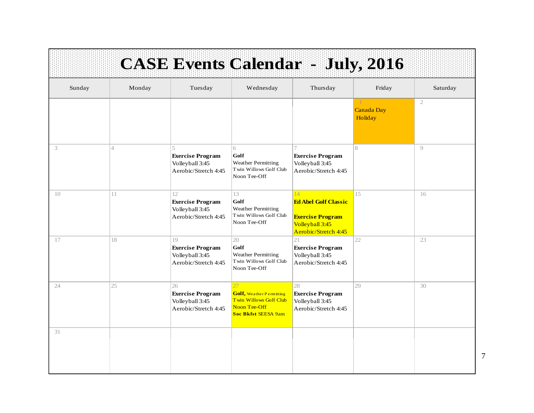|        |                |                                                                          |                                                                                                        | <b>CASE Events Calendar - July, 2016</b>                                                                |                                       |              |
|--------|----------------|--------------------------------------------------------------------------|--------------------------------------------------------------------------------------------------------|---------------------------------------------------------------------------------------------------------|---------------------------------------|--------------|
| Sunday | Monday         | Tuesday                                                                  | Wednesday                                                                                              | Thursday                                                                                                | Friday                                | Saturday     |
|        |                |                                                                          |                                                                                                        |                                                                                                         | $\mathbf{1}$<br>Canada Day<br>Holiday | $\mathbf{2}$ |
| 3      | $\overline{4}$ | <b>Exercise Program</b><br>Volleyball 3:45<br>Aerobic/Stretch 4:45       | 6<br>Golf<br><b>Weather Permitting</b><br>Twin Willows Golf Club<br>Noon Tee-Off                       | <b>Exercise Program</b><br>Volleyball 3:45<br>Aerobic/Stretch 4:45                                      | 8                                     | 9            |
| 10     | 11             | 12<br><b>Exercise Program</b><br>Volleyball 3:45<br>Aerobic/Stretch 4:45 | 13<br>Golf<br><b>Weather Permitting</b><br>Twin Willows Golf Club<br>Noon Tee-Off                      | 14<br><b>Ed Abel Golf Classic</b><br><b>Exercise Program</b><br>Volleyball 3:45<br>Aerobic/Stretch 4:45 | 15                                    | 16           |
| 17     | 18             | 19<br><b>Exercise Program</b><br>Volleyball 3:45<br>Aerobic/Stretch 4:45 | 20<br>Golf<br><b>Weather Permitting</b><br>Twin Willows Golf Club<br>Noon Tee-Off                      | 21<br><b>Exercise Program</b><br>Volleyball 3:45<br>Aerobic/Stretch 4:45                                | 22                                    | 23           |
| 24     | 25             | 26<br><b>Exercise Program</b><br>Volleyball 3:45<br>Aerobic/Stretch 4:45 | 27<br><b>Golf, Weather Permitting</b><br>Twin Willows Golf Club<br>Noon Tee-Off<br>Soc Bkfst SEESA 9am | 28<br><b>Exercise Program</b><br>Volleyball 3:45<br>Aerobic/Stretch 4:45                                | 29                                    | 30           |
| 31     |                |                                                                          |                                                                                                        |                                                                                                         |                                       |              |

7